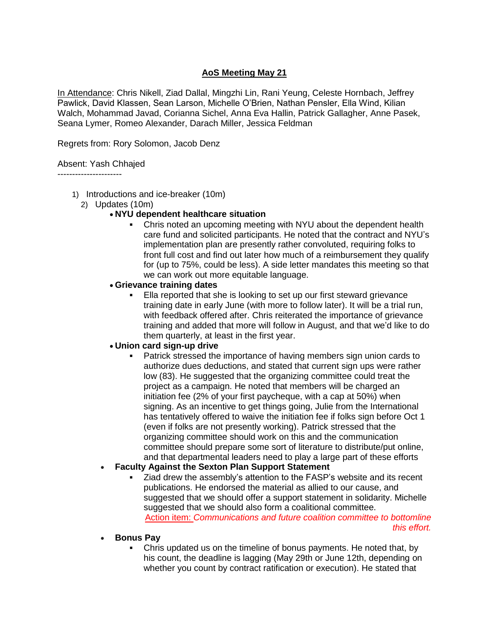# **AoS Meeting May 21**

In Attendance: Chris Nikell, Ziad Dallal, Mingzhi Lin, Rani Yeung, Celeste Hornbach, Jeffrey Pawlick, David Klassen, Sean Larson, Michelle O'Brien, Nathan Pensler, Ella Wind, Kilian Walch, Mohammad Javad, Corianna Sichel, Anna Eva Hallin, Patrick Gallagher, Anne Pasek, Seana Lymer, Romeo Alexander, Darach Miller, Jessica Feldman

Regrets from: Rory Solomon, Jacob Denz

#### Absent: Yash Chhajed

----------------------

- 1) Introductions and ice-breaker (10m)
	- 2) Updates (10m)

# **NYU dependent healthcare situation**

 Chris noted an upcoming meeting with NYU about the dependent health care fund and solicited participants. He noted that the contract and NYU's implementation plan are presently rather convoluted, requiring folks to front full cost and find out later how much of a reimbursement they qualify for (up to 75%, could be less). A side letter mandates this meeting so that we can work out more equitable language.

#### **Grievance training dates**

 Ella reported that she is looking to set up our first steward grievance training date in early June (with more to follow later). It will be a trial run, with feedback offered after. Chris reiterated the importance of grievance training and added that more will follow in August, and that we'd like to do them quarterly, at least in the first year.

# **Union card sign-up drive**

 Patrick stressed the importance of having members sign union cards to authorize dues deductions, and stated that current sign ups were rather low (83). He suggested that the organizing committee could treat the project as a campaign. He noted that members will be charged an initiation fee (2% of your first paycheque, with a cap at 50%) when signing. As an incentive to get things going, Julie from the International has tentatively offered to waive the initiation fee if folks sign before Oct 1 (even if folks are not presently working). Patrick stressed that the organizing committee should work on this and the communication committee should prepare some sort of literature to distribute/put online, and that departmental leaders need to play a large part of these efforts

# **Faculty Against the Sexton Plan Support Statement**

 Ziad drew the assembly's attention to the FASP's website and its recent publications. He endorsed the material as allied to our cause, and suggested that we should offer a support statement in solidarity. Michelle suggested that we should also form a coalitional committee. Action item: *Communications and future coalition committee to bottomline* 

*this effort.*

- **Bonus Pay**
	- Chris updated us on the timeline of bonus payments. He noted that, by his count, the deadline is lagging (May 29th or June 12th, depending on whether you count by contract ratification or execution). He stated that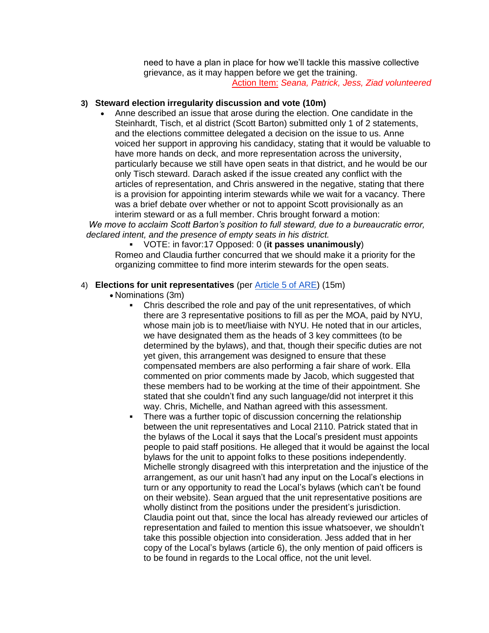need to have a plan in place for how we'll tackle this massive collective grievance, as it may happen before we get the training. Action Item: *Seana, Patrick, Jess, Ziad volunteered*

#### **3) Steward election irregularity discussion and vote (10m)**

 Anne described an issue that arose during the election. One candidate in the Steinhardt, Tisch, et al district (Scott Barton) submitted only 1 of 2 statements, and the elections committee delegated a decision on the issue to us. Anne voiced her support in approving his candidacy, stating that it would be valuable to have more hands on deck, and more representation across the university, particularly because we still have open seats in that district, and he would be our only Tisch steward. Darach asked if the issue created any conflict with the articles of representation, and Chris answered in the negative, stating that there is a provision for appointing interim stewards while we wait for a vacancy. There was a brief debate over whether or not to appoint Scott provisionally as an interim steward or as a full member. Chris brought forward a motion:

*We move to acclaim Scott Barton's position to full steward, due to a bureaucratic error, declared intent, and the presence of empty seats in his district.*

 VOTE: in favor:17 Opposed: 0 (**it passes unanimously**) Romeo and Claudia further concurred that we should make it a priority for the organizing committee to find more interim stewards for the open seats.

#### 4) **Elections for unit representatives** (per [Article 5 of ARE\)](http://www.makingabetternyu.org/gsocuaw/2015/04/06/bylaws-draft-proposal/) (15m)

- Nominations (3m)
	- Chris described the role and pay of the unit representatives, of which there are 3 representative positions to fill as per the MOA, paid by NYU, whose main job is to meet/liaise with NYU. He noted that in our articles, we have designated them as the heads of 3 key committees (to be determined by the bylaws), and that, though their specific duties are not yet given, this arrangement was designed to ensure that these compensated members are also performing a fair share of work. Ella commented on prior comments made by Jacob, which suggested that these members had to be working at the time of their appointment. She stated that she couldn't find any such language/did not interpret it this way. Chris, Michelle, and Nathan agreed with this assessment.
	- There was a further topic of discussion concerning the relationship between the unit representatives and Local 2110. Patrick stated that in the bylaws of the Local it says that the Local's president must appoints people to paid staff positions. He alleged that it would be against the local bylaws for the unit to appoint folks to these positions independently. Michelle strongly disagreed with this interpretation and the injustice of the arrangement, as our unit hasn't had any input on the Local's elections in turn or any opportunity to read the Local's bylaws (which can't be found on their website). Sean argued that the unit representative positions are wholly distinct from the positions under the president's jurisdiction. Claudia point out that, since the local has already reviewed our articles of representation and failed to mention this issue whatsoever, we shouldn't take this possible objection into consideration. Jess added that in her copy of the Local's bylaws (article 6), the only mention of paid officers is to be found in regards to the Local office, not the unit level.